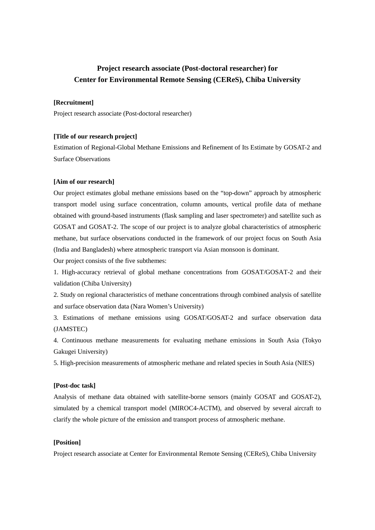# **Project research associate (Post-doctoral researcher) for Center for Environmental Remote Sensing (CEReS), Chiba University**

### **[Recruitment]**

Project research associate (Post-doctoral researcher)

## **[Title of our research project]**

Estimation of Regional-Global Methane Emissions and Refinement of Its Estimate by GOSAT-2 and Surface Observations

#### **[Aim of our research]**

Our project estimates global methane emissions based on the "top-down" approach by atmospheric transport model using surface concentration, column amounts, vertical profile data of methane obtained with ground-based instruments (flask sampling and laser spectrometer) and satellite such as GOSAT and GOSAT-2. The scope of our project is to analyze global characteristics of atmospheric methane, but surface observations conducted in the framework of our project focus on South Asia (India and Bangladesh) where atmospheric transport via Asian monsoon is dominant.

Our project consists of the five subthemes:

1. High-accuracy retrieval of global methane concentrations from GOSAT/GOSAT-2 and their validation (Chiba University)

2. Study on regional characteristics of methane concentrations through combined analysis of satellite and surface observation data (Nara Women's University)

3. Estimations of methane emissions using GOSAT/GOSAT-2 and surface observation data (JAMSTEC)

4. Continuous methane measurements for evaluating methane emissions in South Asia (Tokyo Gakugei University)

5. High-precision measurements of atmospheric methane and related species in South Asia (NIES)

#### **[Post-doc task]**

Analysis of methane data obtained with satellite-borne sensors (mainly GOSAT and GOSAT-2), simulated by a chemical transport model (MIROC4-ACTM), and observed by several aircraft to clarify the whole picture of the emission and transport process of atmospheric methane.

#### **[Position]**

Project research associate at Center for Environmental Remote Sensing (CEReS), Chiba University